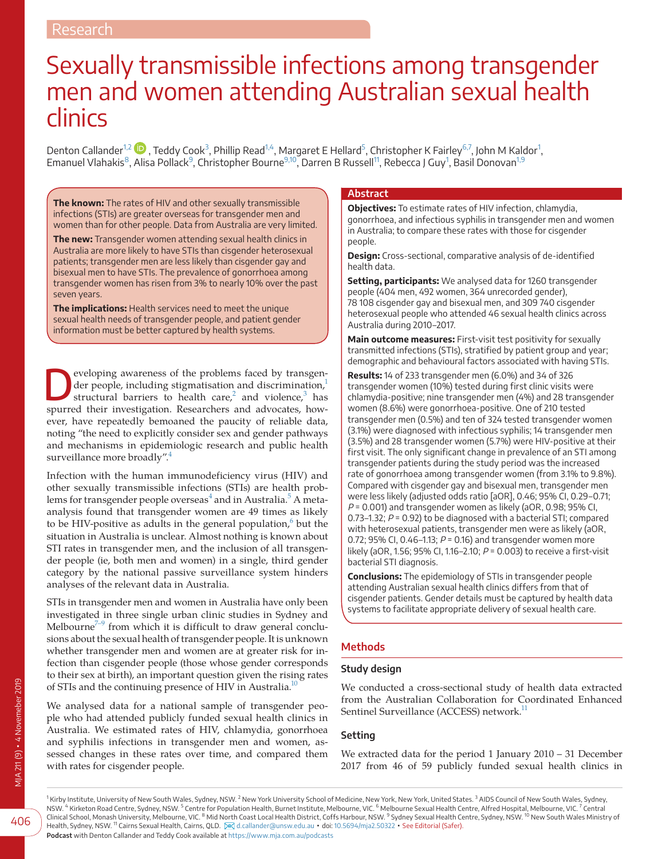# Sexually transmissible infections among transgender men and women attending Australian sexual health clinics

Denton Callander $^{1,2}$  $^{1,2}$  $^{1,2}$   $\bullet$  , Teddy Cook $^3$  $^3$ , Phillip Read $^{1,4}$  $^{1,4}$  $^{1,4}$ , Margaret E Hellard $^5$ , Christopher K Fairley $^{6,7}$  $^{6,7}$  $^{6,7}$ , John M Kaldor $^1$ , Emanuel Vlahakis<sup>8</sup>, Alisa Pollack<sup>[9](#page-0-5)</sup>, Christopher Bourne<sup>[9,10](#page-0-5)</sup>, Darren B Russell<sup>[1](#page-0-0)1</sup>, Rebecca J Guy<sup>1</sup>, Basil Donovan<sup>[1,9](#page-0-0)</sup>

**The known:** The rates of HIV and other sexually transmissible infections (STIs) are greater overseas for transgender men and women than for other people. Data from Australia are very limited.

**The new:** Transgender women attending sexual health clinics in Australia are more likely to have STIs than cisgender heterosexual patients; transgender men are less likely than cisgender gay and bisexual men to have STIs. The prevalence of gonorrhoea among transgender women has risen from 3% to nearly 10% over the past seven years.

**The implications:** Health services need to meet the unique sexual health needs of transgender people, and patient gender information must be better captured by health systems.

**Developing awareness of the problems faced by transgender people, including stigmatisation and discrimination,<sup>1</sup> structural barriers to health care,<sup>[2](#page-5-1)</sup> and violence,<sup>[3](#page-5-2)</sup> has** der people, including stigmatisation and discrimination,<sup>[1](#page-5-0)</sup> spurred their investigation. Researchers and advocates, however, have repeatedly bemoaned the paucity of reliable data, noting "the need to explicitly consider sex and gender pathways and mechanisms in epidemiologic research and public health surveillance more broadly".<sup>4</sup>

Infection with the human immunodeficiency virus (HIV) and other sexually transmissible infections (STIs) are health problems for transgender people overseas $^4$  $^4$  and in Australia. $^5$  $^5$  A metaanalysis found that transgender women are 49 times as likely to be HIV-positive as adults in the general population,<sup>[6](#page-5-5)</sup> but the situation in Australia is unclear. Almost nothing is known about STI rates in transgender men, and the inclusion of all transgender people (ie, both men and women) in a single, third gender category by the national passive surveillance system hinders analyses of the relevant data in Australia.

STIs in transgender men and women in Australia have only been investigated in three single urban clinic studies in Sydney and Melbourne<sup> $7-9$ </sup> from which it is difficult to draw general conclusions about the sexual health of transgender people. It is unknown whether transgender men and women are at greater risk for infection than cisgender people (those whose gender corresponds to their sex at birth), an important question given the rising rates of STIs and the continuing presence of HIV in Australia.<sup>10</sup>

We analysed data for a national sample of transgender people who had attended publicly funded sexual health clinics in Australia. We estimated rates of HIV, chlamydia, gonorrhoea and syphilis infections in transgender men and women, assessed changes in these rates over time, and compared them with rates for cisgender people.

#### **Abstract**

**Objectives:** To estimate rates of HIV infection, chlamydia, gonorrhoea, and infectious syphilis in transgender men and women in Australia; to compare these rates with those for cisgender people.

**Design:** Cross-sectional, comparative analysis of de-identified health data.

**Setting, participants:** We analysed data for 1260 transgender people (404 men, 492 women, 364 unrecorded gender), 78 108 cisgender gay and bisexual men, and 309 740 cisgender heterosexual people who attended 46 sexual health clinics across Australia during 2010–2017.

**Main outcome measures:** First-visit test positivity for sexually transmitted infections (STIs), stratified by patient group and year; demographic and behavioural factors associated with having STIs.

**Results:** 14 of 233 transgender men (6.0%) and 34 of 326 transgender women (10%) tested during first clinic visits were chlamydia-positive; nine transgender men (4%) and 28 transgender women (8.6%) were gonorrhoea-positive. One of 210 tested transgender men (0.5%) and ten of 324 tested transgender women (3.1%) were diagnosed with infectious syphilis; 14 transgender men (3.5%) and 28 transgender women (5.7%) were HIV-positive at their first visit. The only significant change in prevalence of an STI among transgender patients during the study period was the increased rate of gonorrhoea among transgender women (from 3.1% to 9.8%). Compared with cisgender gay and bisexual men, transgender men were less likely (adjusted odds ratio [aOR], 0.46; 95% CI, 0.29–0.71;  $P = 0.001$ ) and transgender women as likely (aOR, 0.98; 95% CI, 0.73–1.32;  $P = 0.92$ ) to be diagnosed with a bacterial STI; compared with heterosexual patients, transgender men were as likely (aOR, 0.72; 95% CI, 0.46-1.13;  $P = 0.16$ ) and transgender women more likely (aOR, 1.56; 95% CI, 1.16-2.10;  $P = 0.003$ ) to receive a first-visit bacterial STI diagnosis.

**Conclusions:** The epidemiology of STIs in transgender people attending Australian sexual health clinics differs from that of cisgender patients. Gender details must be captured by health data systems to facilitate appropriate delivery of sexual health care.

# **Methods**

## **Study design**

We conducted a cross-sectional study of health data extracted from the Australian Collaboration for Coordinated Enhanced Sentinel Surveillance (ACCESS) network.<sup>11</sup>

## **Setting**

<span id="page-0-5"></span><span id="page-0-3"></span><span id="page-0-1"></span>We extracted data for the period 1 January 2010 – 31 December 2017 from 46 of 59 publicly funded sexual health clinics in

<span id="page-0-6"></span><span id="page-0-4"></span><span id="page-0-2"></span><span id="page-0-0"></span><sup>1</sup> Kirby Institute, University of New South Wales, Sydney, NSW. <sup>2</sup> New York University School of Medicine, New York, New York, United States. <sup>3</sup> AIDS Council of New South Wales, Sydney, NSW. <sup>4</sup> Kirketon Road Centre, Sydney, NSW. <sup>5</sup> Centre for Population Health, Burnet Institute, Melbourne, VIC. <sup>6</sup> Melbourne Sexual Health Centre, Alfred Hospital, Melbourne, VIC. <sup>7</sup> Central<br>Clinical School, Monash Unive Health, Sydney, NSW. <sup>11</sup> Cairns Sexual Health, Cairns, QLD. 28 [d.callander@unsw.edu.au](mailto:d.callander@unsw.edu.au) • doi: [10.5694/mja2.50322](https://doi.org/10.5694/mja2.50322) • See Editorial (Safer). **Podcast** with Denton Callander and Teddy Cook available at <https://www.mja.com.au/podcasts>

406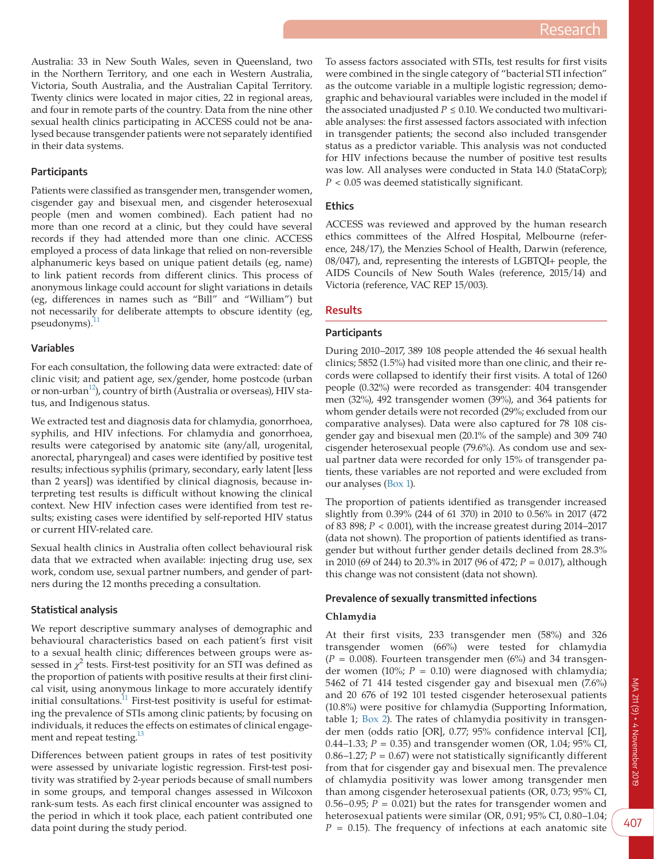Australia: 33 in New South Wales, seven in Queensland, two in the Northern Territory, and one each in Western Australia, Victoria, South Australia, and the Australian Capital Territory. Twenty clinics were located in major cities, 22 in regional areas, and four in remote parts of the country. Data from the nine other sexual health clinics participating in ACCESS could not be analysed because transgender patients were not separately identified in their data systems.

### **Participants**

Patients were classified as transgender men, transgender women, cisgender gay and bisexual men, and cisgender heterosexual people (men and women combined). Each patient had no more than one record at a clinic, but they could have several records if they had attended more than one clinic. ACCESS employed a process of data linkage that relied on non-reversible alphanumeric keys based on unique patient details (eg, name) to link patient records from different clinics. This process of anonymous linkage could account for slight variations in details (eg, differences in names such as "Bill" and "William") but not necessarily for deliberate attempts to obscure identity (eg,  $p$ seudonyms). $^{11}$  $^{11}$  $^{11}$ 

#### **Variables**

For each consultation, the following data were extracted: date of clinic visit; and patient age, sex/gender, home postcode (urban or non-urban<sup>12</sup>), country of birth (Australia or overseas), HIV status, and Indigenous status.

We extracted test and diagnosis data for chlamydia, gonorrhoea, syphilis, and HIV infections. For chlamydia and gonorrhoea, results were categorised by anatomic site (any/all, urogenital, anorectal, pharyngeal) and cases were identified by positive test results; infectious syphilis (primary, secondary, early latent [less than 2 years]) was identified by clinical diagnosis, because interpreting test results is difficult without knowing the clinical context. New HIV infection cases were identified from test results; existing cases were identified by self-reported HIV status or current HIV-related care.

Sexual health clinics in Australia often collect behavioural risk data that we extracted when available: injecting drug use, sex work, condom use, sexual partner numbers, and gender of partners during the 12 months preceding a consultation.

#### **Statistical analysis**

We report descriptive summary analyses of demographic and behavioural characteristics based on each patient's first visit to a sexual health clinic; differences between groups were assessed in  $\chi^2$  tests. First-test positivity for an STI was defined as the proportion of patients with positive results at their first clinical visit, using anonymous linkage to more accurately identify initial consultations.<sup>11</sup> First-test positivity is useful for estimating the prevalence of STIs among clinic patients; by focusing on individuals, it reduces the effects on estimates of clinical engagement and repeat testing.<sup>13</sup>

Differences between patient groups in rates of test positivity were assessed by univariate logistic regression. First-test positivity was stratified by 2-year periods because of small numbers in some groups, and temporal changes assessed in Wilcoxon rank-sum tests. As each first clinical encounter was assigned to the period in which it took place, each patient contributed one data point during the study period.

To assess factors associated with STIs, test results for first visits were combined in the single category of "bacterial STI infection" as the outcome variable in a multiple logistic regression; demographic and behavioural variables were included in the model if the associated unadjusted  $P \leq 0.10$ . We conducted two multivariable analyses: the first assessed factors associated with infection in transgender patients; the second also included transgender status as a predictor variable. This analysis was not conducted for HIV infections because the number of positive test results was low. All analyses were conducted in Stata 14.0 (StataCorp); *P* < 0.05 was deemed statistically significant.

#### **Ethics**

ACCESS was reviewed and approved by the human research ethics committees of the Alfred Hospital, Melbourne (reference, 248/17), the Menzies School of Health, Darwin (reference, 08/047), and, representing the interests of LGBTQI+ people, the AIDS Councils of New South Wales (reference, 2015/14) and Victoria (reference, VAC REP 15/003).

#### **Results**

#### **Participants**

During 2010–2017, 389 108 people attended the 46 sexual health clinics; 5852 (1.5%) had visited more than one clinic, and their records were collapsed to identify their first visits. A total of 1260 people (0.32%) were recorded as transgender: 404 transgender men (32%), 492 transgender women (39%), and 364 patients for whom gender details were not recorded (29%; excluded from our comparative analyses). Data were also captured for 78 108 cisgender gay and bisexual men (20.1% of the sample) and 309 740 cisgender heterosexual people (79.6%). As condom use and sexual partner data were recorded for only 15% of transgender patients, these variables are not reported and were excluded from our analyses [\(Box 1\)](#page-2-0).

The proportion of patients identified as transgender increased slightly from 0.39% (244 of 61 370) in 2010 to 0.56% in 2017 (472 of 83 898; *P* < 0.001), with the increase greatest during 2014–2017 (data not shown). The proportion of patients identified as transgender but without further gender details declined from 28.3% in 2010 (69 of 244) to 20.3% in 2017 (96 of 472; *P* = 0.017), although this change was not consistent (data not shown).

#### **Prevalence of sexually transmitted infections**

#### **Chlamydia**

At their first visits, 233 transgender men (58%) and 326 transgender women (66%) were tested for chlamydia  $(P = 0.008)$ . Fourteen transgender men (6%) and 34 transgender women (10%;  $P = 0.10$ ) were diagnosed with chlamydia; 5462 of 71 414 tested cisgender gay and bisexual men (7.6%) and 20 676 of 192 101 tested cisgender heterosexual patients (10.8%) were positive for chlamydia (Supporting Information, table 1; [Box 2](#page-2-1)). The rates of chlamydia positivity in transgender men (odds ratio [OR], 0.77; 95% confidence interval [CI], 0.44–1.33; *P* = 0.35) and transgender women (OR, 1.04; 95% CI, 0.86–1.27;  $P = 0.67$ ) were not statistically significantly different from that for cisgender gay and bisexual men. The prevalence of chlamydia positivity was lower among transgender men than among cisgender heterosexual patients (OR, 0.73; 95% CI, 0.56–0.95;  $P = 0.021$ ) but the rates for transgender women and heterosexual patients were similar (OR, 0.91; 95% CI, 0.80–1.04;  $P = 0.15$ ). The frequency of infections at each anatomic site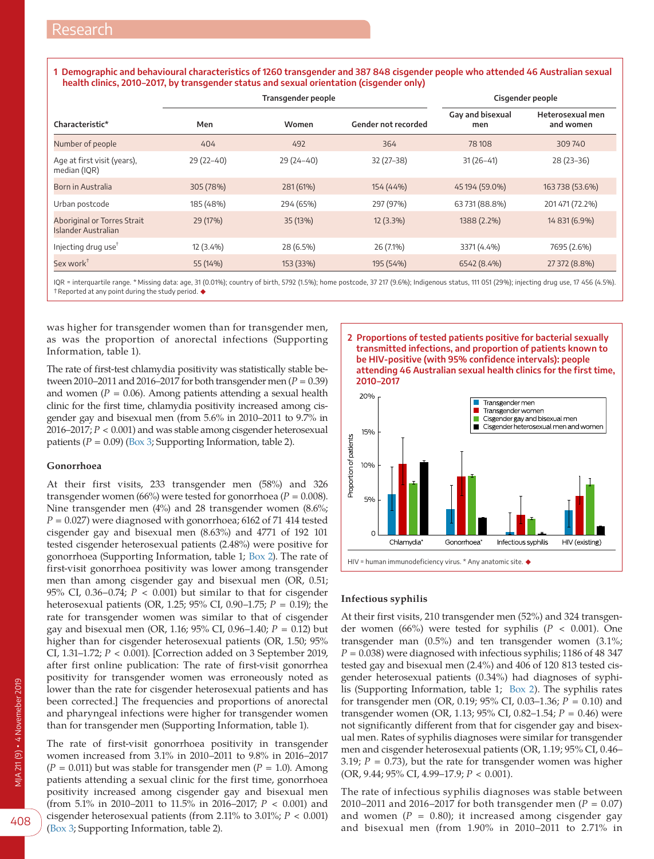<span id="page-2-0"></span>1 Demographic and behavioural characteristics of 1260 transgender and 387 848 cisgender people who attended 46 Australian sexual **health clinics, 2010–2017, by transgender status and sexual orientation (cisgender only)**

|                                                           |             | Transgender people | Cisgender people    |                         |                               |
|-----------------------------------------------------------|-------------|--------------------|---------------------|-------------------------|-------------------------------|
| Characteristic*                                           | Men         | Women              | Gender not recorded | Gay and bisexual<br>men | Heterosexual men<br>and women |
| Number of people                                          | 404         | 492                | 364                 | 78108                   | 309740                        |
| Age at first visit (years),<br>median (IQR)               | $29(22-40)$ | $29(24-40)$        | $32(27-38)$         | $31(26-41)$             | $28(23-36)$                   |
| Born in Australia                                         | 305 (78%)   | 281 (61%)          | 154 (44%)           | 45 194 (59.0%)          | 163 738 (53.6%)               |
| Urban postcode                                            | 185 (48%)   | 294 (65%)          | 297 (97%)           | 63731 (88.8%)           | 201471 (72.2%)                |
| <b>Aboriginal or Torres Strait</b><br>Islander Australian | 29 (17%)    | 35 (13%)           | $12(3.3\%)$         | 1388 (2.2%)             | 14 831 (6.9%)                 |
| Injecting drug use <sup>†</sup>                           | 12 (3.4%)   | 28 (6.5%)          | 26 (7.1%)           | 3371 (4.4%)             | 7695 (2.6%)                   |
| Sex work ${}^{\intercal}$                                 | 55 (14%)    | 153 (33%)          | 195 (54%)           | 6542 (8.4%)             | 27 372 (8.8%)                 |

IQR = interquartile range. \* Missing data: age, 31 (0.01%); country of birth, 5792 (1.5%); home postcode, 37 217 (9.6%); Indigenous status, 111 051 (29%); injecting drug use, 17 456 (4.5%). †Reported at any point during the study period. ◆

was higher for transgender women than for transgender men, as was the proportion of anorectal infections (Supporting Information, table 1).

The rate of first-test chlamydia positivity was statistically stable between 2010–2011 and 2016–2017 for both transgender men (*P* = 0.39) and women ( $P = 0.06$ ). Among patients attending a sexual health clinic for the first time, chlamydia positivity increased among cisgender gay and bisexual men (from 5.6% in 2010–2011 to 9.7% in 2016–2017; *P* < 0.001) and was stable among cisgender heterosexual patients  $(P = 0.09)$  [\(Box 3](#page-3-0); Supporting Information, table 2).

#### **Gonorrhoea**

At their first visits, 233 transgender men (58%) and 326 transgender women (66%) were tested for gonorrhoea ( $P = 0.008$ ). Nine transgender men (4%) and 28 transgender women (8.6%;  $P = 0.027$ ) were diagnosed with gonorrhoea; 6162 of 71 414 tested cisgender gay and bisexual men (8.63%) and 4771 of 192 101 tested cisgender heterosexual patients (2.48%) were positive for gonorrhoea (Supporting Information, table 1; [Box 2](#page-2-1)). The rate of first-visit gonorrhoea positivity was lower among transgender men than among cisgender gay and bisexual men (OR, 0.51; 95% CI, 0.36–0.74;  $P < 0.001$ ) but similar to that for cisgender heterosexual patients (OR, 1.25; 95% CI, 0.90–1.75; *P* = 0.19); the rate for transgender women was similar to that of cisgender gay and bisexual men (OR, 1.16; 95% CI, 0.96–1.40; *P* = 0.12) but higher than for cisgender heterosexual patients (OR, 1.50; 95% CI, 1.31–1.72; *P* < 0.001). [Correction added on 3 September 2019, after first online publication: The rate of first-visit gonorrhea positivity for transgender women was erroneously noted as lower than the rate for cisgender heterosexual patients and has been corrected.] The frequencies and proportions of anorectal and pharyngeal infections were higher for transgender women than for transgender men (Supporting Information, table 1).

The rate of first-visit gonorrhoea positivity in transgender women increased from 3.1% in 2010–2011 to 9.8% in 2016–2017  $(P = 0.011)$  but was stable for transgender men  $(P = 1.0)$ . Among patients attending a sexual clinic for the first time, gonorrhoea positivity increased among cisgender gay and bisexual men (from 5.1% in 2010–2011 to 11.5% in 2016–2017; *P* < 0.001) and cisgender heterosexual patients (from 2.11% to 3.01%; *P* < 0.001) ([Box 3;](#page-3-0) Supporting Information, table 2).

<span id="page-2-1"></span>



#### **Infectious syphilis**

At their first visits, 210 transgender men (52%) and 324 transgender women (66%) were tested for syphilis ( $P < 0.001$ ). One transgender man (0.5%) and ten transgender women (3.1%;  $P = 0.038$ ) were diagnosed with infectious syphilis; 1186 of 48 347 tested gay and bisexual men (2.4%) and 406 of 120 813 tested cisgender heterosexual patients (0.34%) had diagnoses of syphilis (Supporting Information, table 1; [Box 2\)](#page-2-1). The syphilis rates for transgender men (OR, 0.19; 95% CI, 0.03–1.36; *P* = 0.10) and transgender women (OR, 1.13; 95% CI, 0.82–1.54; *P* = 0.46) were not significantly different from that for cisgender gay and bisexual men. Rates of syphilis diagnoses were similar for transgender men and cisgender heterosexual patients (OR, 1.19; 95% CI, 0.46– 3.19;  $P = 0.73$ ), but the rate for transgender women was higher (OR, 9.44; 95% CI, 4.99–17.9; *P* < 0.001).

The rate of infectious syphilis diagnoses was stable between 2010–2011 and 2016–2017 for both transgender men ( $P = 0.07$ ) and women  $(P = 0.80)$ ; it increased among cisgender gay and bisexual men (from 1.90% in 2010–2011 to 2.71% in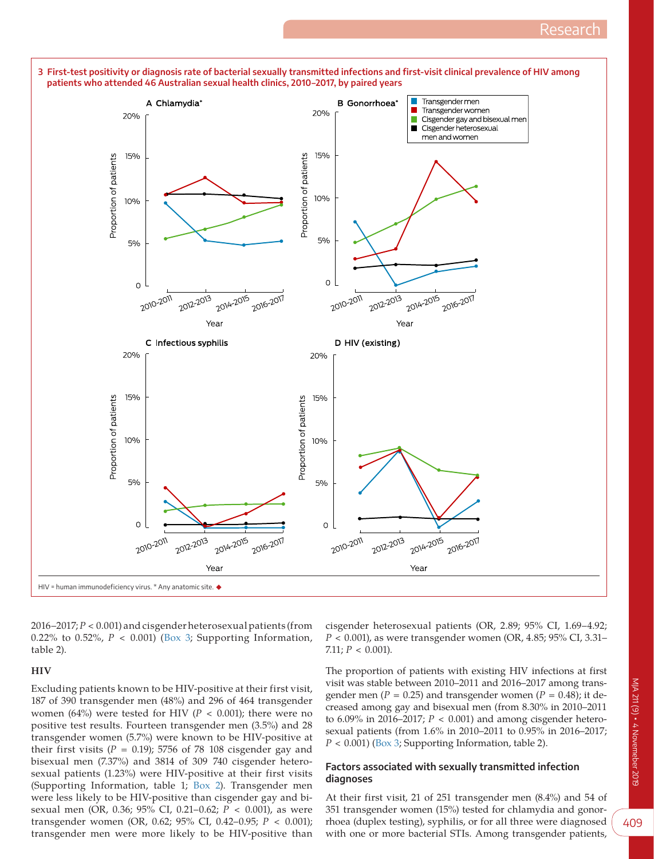

<span id="page-3-0"></span>**3 First-test positivity or diagnosis rate of bacterial sexually transmitted infections and first-visit clinical prevalence of HIV among** 

2016–2017; *P* < 0.001) and cisgender heterosexual patients (from 0.22% to 0.52%,  $P < 0.001$ ) [\(Box 3](#page-3-0); Supporting Information, table 2).

#### **HIV**

Excluding patients known to be HIV-positive at their first visit, 187 of 390 transgender men (48%) and 296 of 464 transgender women (64%) were tested for HIV ( $P < 0.001$ ); there were no positive test results. Fourteen transgender men (3.5%) and 28 transgender women (5.7%) were known to be HIV-positive at their first visits  $(P = 0.19)$ ; 5756 of 78 108 cisgender gay and bisexual men (7.37%) and 3814 of 309 740 cisgender heterosexual patients (1.23%) were HIV-positive at their first visits (Supporting Information, table 1; [Box 2](#page-2-1)). Transgender men were less likely to be HIV-positive than cisgender gay and bisexual men (OR, 0.36; 95% CI, 0.21–0.62; *P* < 0.001), as were transgender women (OR, 0.62; 95% CI, 0.42–0.95; *P* < 0.001); transgender men were more likely to be HIV-positive than

cisgender heterosexual patients (OR, 2.89; 95% CI, 1.69–4.92; *P* < 0.001), as were transgender women (OR, 4.85; 95% CI, 3.31– 7.11;  $P < 0.001$ ).

The proportion of patients with existing HIV infections at first visit was stable between 2010–2011 and 2016–2017 among transgender men ( $P = 0.25$ ) and transgender women ( $P = 0.48$ ); it decreased among gay and bisexual men (from 8.30% in 2010–2011 to 6.09% in 2016–2017; *P* < 0.001) and among cisgender heterosexual patients (from 1.6% in 2010–2011 to 0.95% in 2016–2017; *P* < 0.001) ([Box 3](#page-3-0); Supporting Information, table 2).

#### **Factors associated with sexually transmitted infection diagnoses**

At their first visit, 21 of 251 transgender men (8.4%) and 54 of 351 transgender women (15%) tested for chlamydia and gonorrhoea (duplex testing), syphilis, or for all three were diagnosed with one or more bacterial STIs. Among transgender patients,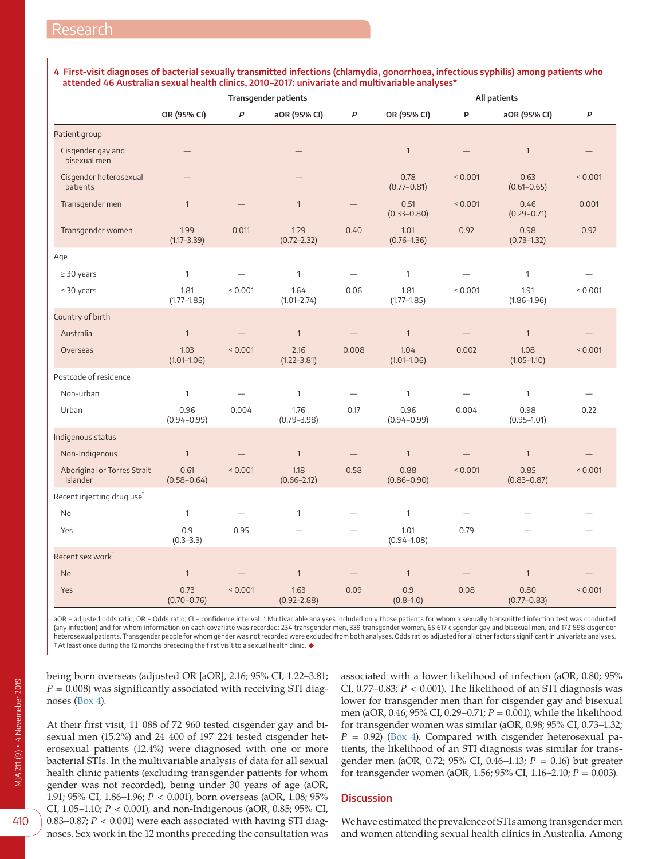#### <span id="page-4-0"></span>**4 First-visit diagnoses of bacterial sexually transmitted infections (chlamydia, gonorrhoea, infectious syphilis) among patients who attended 46 Australian sexual health clinics, 2010–2017: univariate and multivariable analyses\***

|                                         | <b>Transgender patients</b> |         |                          |                          | All patients            |                   |                         |              |
|-----------------------------------------|-----------------------------|---------|--------------------------|--------------------------|-------------------------|-------------------|-------------------------|--------------|
|                                         | OR (95% CI)                 | P       | aOR (95% CI)             | $\mathsf{P}$             | OR (95% CI)             | P                 | aOR (95% CI)            | P            |
| Patient group                           |                             |         |                          |                          |                         |                   |                         |              |
| Cisgender gay and<br>bisexual men       |                             |         |                          |                          | $\mathbf{1}$            |                   | $\mathbf{1}$            |              |
| Cisgender heterosexual<br>patients      |                             |         |                          |                          | 0.78<br>$(0.77 - 0.81)$ | < 0.001           | 0.63<br>$(0.61 - 0.65)$ | 0.001        |
| Transgender men                         | $\mathbf{1}$                |         | $\mathbf{1}$             |                          | 0.51<br>$(0.33 - 0.80)$ | < 0.001           | 0.46<br>$(0.29 - 0.71)$ | 0.001        |
| Transgender women                       | 1.99<br>$(1.17 - 3.39)$     | 0.011   | 1.29<br>$(0.72 - 2.32)$  | 0.40                     | 1.01<br>$(0.76 - 1.36)$ | 0.92              | 0.98<br>$(0.73 - 1.32)$ | 0.92         |
| Age                                     |                             |         |                          |                          |                         |                   |                         |              |
| $\geq$ 30 years                         | $\mathbf{1}$                |         | $\mathbf{1}$             |                          | $\mathbf{1}$            |                   | $\mathbf{1}$            |              |
| < 30 years                              | 1.81<br>$(1.77 - 1.85)$     | 0.001   | 1.64<br>$(1.01 - 2.74)$  | 0.06                     | 1.81<br>$(1.77 - 1.85)$ | ${}_{0.001}$      | 1.91<br>$(1.86 - 1.96)$ | ${}_{0.001}$ |
| Country of birth                        |                             |         |                          |                          |                         |                   |                         |              |
| Australia                               | $\mathbf{1}$                |         | $\mathbf{1}$             | $\qquad \qquad -$        | $\mathbf{1}$            | $\qquad \qquad -$ | $\mathbf{1}$            |              |
| Overseas                                | 1.03<br>$(1.01 - 1.06)$     | < 0.001 | 2.16<br>$(1.22 - 3.81)$  | 0.008                    | 1.04<br>$(1.01 - 1.06)$ | 0.002             | 1.08<br>$(1.05 - 1.10)$ | 0.001        |
| Postcode of residence                   |                             |         |                          |                          |                         |                   |                         |              |
| Non-urban                               | $\mathbf{1}$                |         | $\mathbf{1}$             |                          | $\mathbf{1}$            |                   | $\mathbf{1}$            |              |
| Urban                                   | 0.96<br>$(0.94 - 0.99)$     | 0.004   | 1.76<br>$(0.79 - 3.98)$  | 0.17                     | 0.96<br>$(0.94 - 0.99)$ | 0.004             | 0.98<br>$(0.95 - 1.01)$ | 0.22         |
| Indigenous status                       |                             |         |                          |                          |                         |                   |                         |              |
| Non-Indigenous                          | $\mathbf{1}$                |         | $\overline{1}$           | $\qquad \qquad -$        | $\mathbf{1}$            |                   | $\mathbf{1}$            |              |
| Aboriginal or Torres Strait<br>Islander | 0.61<br>$(0.58 - 0.64)$     | 0.001   | 1.18<br>$(0.66 - 2.12)$  | 0.58                     | 0.88<br>$(0.86 - 0.90)$ | 0.001             | 0.85<br>$(0.83 - 0.87)$ | 0.001        |
| Recent injecting drug use <sup>†</sup>  |                             |         |                          |                          |                         |                   |                         |              |
| <b>No</b>                               | $\mathbf{1}$                |         | $\mathbf{1}$             | $\overline{\phantom{0}}$ | $\mathbf{1}$            |                   |                         |              |
| Yes                                     | 0.9<br>$(0.3 - 3.3)$        | 0.95    | $\overline{\phantom{0}}$ | $\overline{\phantom{0}}$ | 1.01<br>$(0.94 - 1.08)$ | 0.79              |                         |              |
| Recent sex work <sup>+</sup>            |                             |         |                          |                          |                         |                   |                         |              |
| <b>No</b>                               | $\mathbf{1}$                |         | $\mathbf{1}$             |                          | $\mathbf{1}$            |                   | $\mathbf{1}$            |              |
| Yes                                     | 0.73<br>$(0.70 - 0.76)$     | < 0.001 | 1.63<br>$(0.92 - 2.88)$  | 0.09                     | 0.9<br>$(0.8 - 1.0)$    | 0.08              | 0.80<br>$(0.77 - 0.83)$ | < 0.001      |

aOR = adjusted odds ratio; OR = Odds ratio; CI = confidence interval. \* Multivariable analyses included only those patients for whom a sexually transmitted infection test was conducted (any infection) and for whom information on each covariate was recorded: 234 transgender men, 339 transgender women, 65 617 cisgender gay and bisexual men, and 172 898 cisgender heterosexual patients. Transgender people for whom gender was not recorded were excluded from both analyses. Odds ratios adjusted for all other factors significant in univariate analyses.<br>† At least once during the 12 mon

being born overseas (adjusted OR [aOR], 2.16; 95% CI, 1.22–3.81;  $P = 0.008$ ) was significantly associated with receiving STI diagnoses [\(Box 4\)](#page-4-0).

At their first visit, 11 088 of 72 960 tested cisgender gay and bisexual men (15.2%) and 24 400 of 197 224 tested cisgender heterosexual patients (12.4%) were diagnosed with one or more bacterial STIs. In the multivariable analysis of data for all sexual health clinic patients (excluding transgender patients for whom gender was not recorded), being under 30 years of age (aOR, 1.91; 95% CI, 1.86–1.96; *P* < 0.001), born overseas (aOR, 1.08; 95% CI, 1.05–1.10; *P* < 0.001), and non-Indigenous (aOR, 0.85; 95% CI, 0.83–0.87; *P* < 0.001) were each associated with having STI diagnoses. Sex work in the 12 months preceding the consultation was associated with a lower likelihood of infection (aOR, 0.80; 95% CI, 0.77–0.83; *P* < 0.001). The likelihood of an STI diagnosis was lower for transgender men than for cisgender gay and bisexual men (aOR, 0.46; 95% CI, 0.29–0.71; *P* = 0.001), while the likelihood for transgender women was similar (aOR, 0.98; 95% CI, 0.73–1.32;  $P = 0.92$ ) ([Box 4\)](#page-4-0). Compared with cisgender heterosexual patients, the likelihood of an STI diagnosis was similar for transgender men (aOR, 0.72; 95% CI, 0.46–1.13; *P* = 0.16) but greater for transgender women (aOR, 1.56; 95% CI, 1.16–2.10; *P* = 0.003).

#### **Discussion**

We have estimated the prevalence of STIs among transgender men and women attending sexual health clinics in Australia. Among